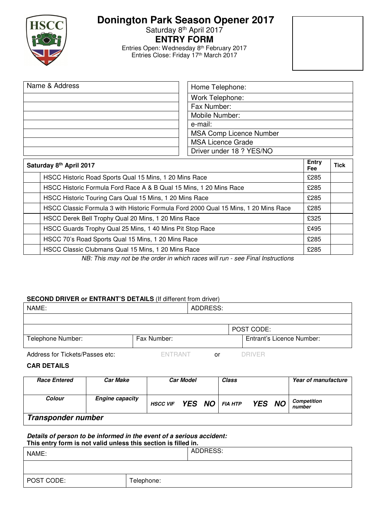

# **Donington Park Season Opener 2017**

Saturday 8<sup>th</sup> April 2017

**ENTRY FORM** 

Entries Open: Wednesday 8<sup>th</sup> February 2017 Entries Close: Friday 17th March 2017

| Name & Address | Home Telephone:                |  |  |  |  |  |  |
|----------------|--------------------------------|--|--|--|--|--|--|
|                | Work Telephone:                |  |  |  |  |  |  |
|                | Fax Number:                    |  |  |  |  |  |  |
|                | Mobile Number:                 |  |  |  |  |  |  |
|                | e-mail:                        |  |  |  |  |  |  |
|                | <b>MSA Comp Licence Number</b> |  |  |  |  |  |  |
|                | <b>MSA Licence Grade</b>       |  |  |  |  |  |  |
|                | Driver under 18 ? YES/NO       |  |  |  |  |  |  |

| Saturday 8th April 2017 |                                                                                     |      |  |  |  |  |  |
|-------------------------|-------------------------------------------------------------------------------------|------|--|--|--|--|--|
|                         | HSCC Historic Road Sports Qual 15 Mins, 1 20 Mins Race                              |      |  |  |  |  |  |
|                         | HSCC Historic Formula Ford Race A & B Qual 15 Mins, 1 20 Mins Race                  | £285 |  |  |  |  |  |
|                         | HSCC Historic Touring Cars Qual 15 Mins, 1 20 Mins Race                             | £285 |  |  |  |  |  |
|                         | HSCC Classic Formula 3 with Historic Formula Ford 2000 Qual 15 Mins, 1 20 Mins Race | £285 |  |  |  |  |  |
|                         | HSCC Derek Bell Trophy Qual 20 Mins, 1 20 Mins Race                                 | £325 |  |  |  |  |  |
|                         | HSCC Guards Trophy Qual 25 Mins, 1 40 Mins Pit Stop Race                            | £495 |  |  |  |  |  |
|                         | HSCC 70's Road Sports Qual 15 Mins, 1 20 Mins Race                                  | £285 |  |  |  |  |  |
|                         | HSCC Classic Clubmans Qual 15 Mins, 1 20 Mins Race                                  | £285 |  |  |  |  |  |

NB: This may not be the order in which races will run - see Final Instructions

## **SECOND DRIVER or ENTRANT'S DETAILS** (If different from driver)

| NAME:                           |                | ADDRESS: |            |                           |  |
|---------------------------------|----------------|----------|------------|---------------------------|--|
|                                 |                |          |            |                           |  |
|                                 |                |          | POST CODE: |                           |  |
| Telephone Number:               | Fax Number:    |          |            | Entrant's Licence Number: |  |
| Address for Tickets/Passes etc: | <b>FNTRANT</b> | or       | DRIVER     |                           |  |

## **CAR DETAILS**

| <b>Race Entered</b> | <b>Car Make</b>        | <b>Car Model</b>        |  |  | Class |               | Year of manufacture |                       |  |
|---------------------|------------------------|-------------------------|--|--|-------|---------------|---------------------|-----------------------|--|
| <b>Colour</b>       | <b>Engine capacity</b> | HSCC VIF YES NO FIA HTP |  |  |       | <b>YES NO</b> |                     | Competition<br>number |  |
| Transponder number  |                        |                         |  |  |       |               |                     |                       |  |

**Details of person to be informed in the event of a serious accident: This entry form is not valid unless this section is filled in.** 

| <b>THIS CHILLY TOTHERS THE VAILU UNITESS THIS SECTION IS THICU III.</b> |          |  |  |  |  |  |  |  |
|-------------------------------------------------------------------------|----------|--|--|--|--|--|--|--|
| NAME:                                                                   | ADDRESS: |  |  |  |  |  |  |  |
|                                                                         |          |  |  |  |  |  |  |  |

POST CODE: Telephone: